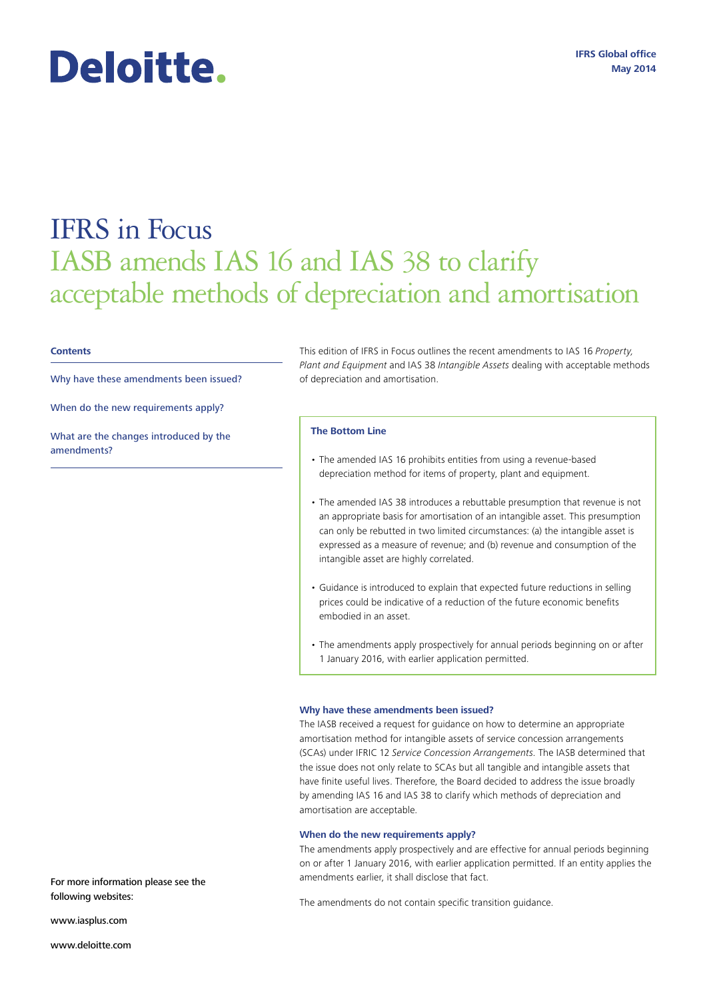## **IFRS Global office May 2014**

# IFRS in Focus

# IASB amends IAS 16 and IAS 38 to clarify acceptable methods of depreciation and amortisation

### **Contents**

Why have these amendments been issued?

When do the new requirements apply?

Deloitte.

What are the changes introduced by the amendments?

This edition of IFRS in Focus outlines the recent amendments to IAS 16 *Property, Plant and Equipment* and IAS 38 *Intangible Assets* dealing with acceptable methods of depreciation and amortisation.

### **The Bottom Line**

- The amended IAS 16 prohibits entities from using a revenue-based depreciation method for items of property, plant and equipment.
- The amended IAS 38 introduces a rebuttable presumption that revenue is not an appropriate basis for amortisation of an intangible asset. This presumption can only be rebutted in two limited circumstances: (a) the intangible asset is expressed as a measure of revenue; and (b) revenue and consumption of the intangible asset are highly correlated.
- Guidance is introduced to explain that expected future reductions in selling prices could be indicative of a reduction of the future economic benefits embodied in an asset.
- The amendments apply prospectively for annual periods beginning on or after 1 January 2016, with earlier application permitted.

### **Why have these amendments been issued?**

The IASB received a request for guidance on how to determine an appropriate amortisation method for intangible assets of service concession arrangements (SCAs) under IFRIC 12 *Service Concession Arrangements*. The IASB determined that the issue does not only relate to SCAs but all tangible and intangible assets that have finite useful lives. Therefore, the Board decided to address the issue broadly by amending IAS 16 and IAS 38 to clarify which methods of depreciation and amortisation are acceptable.

### **When do the new requirements apply?**

The amendments apply prospectively and are effective for annual periods beginning on or after 1 January 2016, with earlier application permitted. If an entity applies the amendments earlier, it shall disclose that fact.

following websites:

www.iasplus.com

www.deloitte.com

For more information please see the

The amendments do not contain specific transition guidance.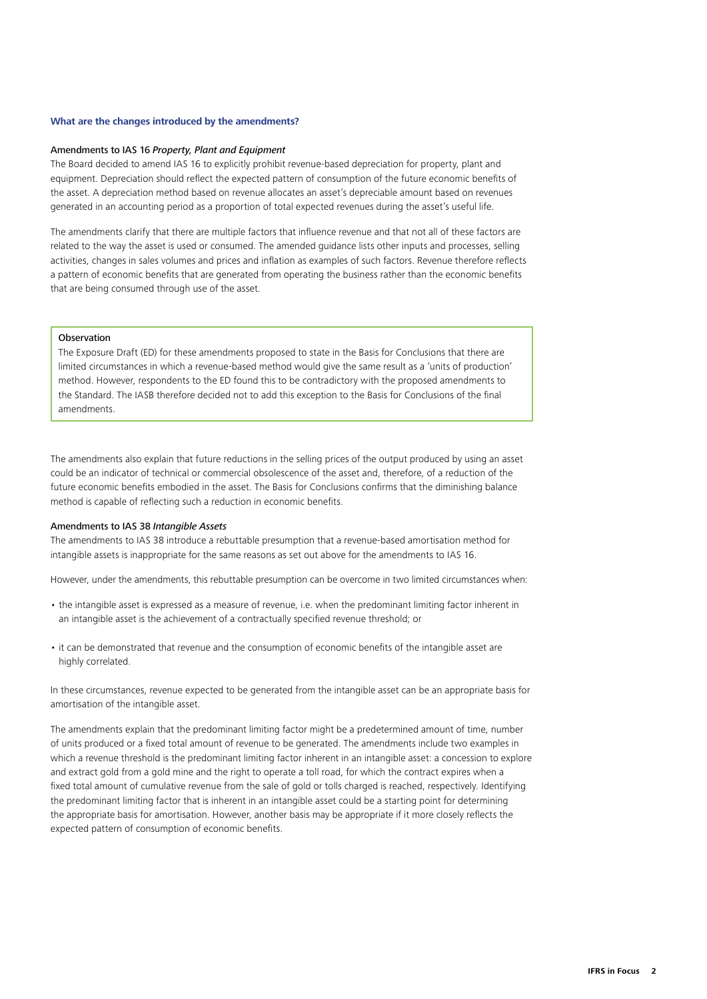### **What are the changes introduced by the amendments?**

### Amendments to IAS 16 *Property, Plant and Equipment*

The Board decided to amend IAS 16 to explicitly prohibit revenue-based depreciation for property, plant and equipment. Depreciation should reflect the expected pattern of consumption of the future economic benefits of the asset. A depreciation method based on revenue allocates an asset's depreciable amount based on revenues generated in an accounting period as a proportion of total expected revenues during the asset's useful life.

The amendments clarify that there are multiple factors that influence revenue and that not all of these factors are related to the way the asset is used or consumed. The amended guidance lists other inputs and processes, selling activities, changes in sales volumes and prices and inflation as examples of such factors. Revenue therefore reflects a pattern of economic benefits that are generated from operating the business rather than the economic benefits that are being consumed through use of the asset.

### **Observation**

The Exposure Draft (ED) for these amendments proposed to state in the Basis for Conclusions that there are limited circumstances in which a revenue-based method would give the same result as a 'units of production' method. However, respondents to the ED found this to be contradictory with the proposed amendments to the Standard. The IASB therefore decided not to add this exception to the Basis for Conclusions of the final amendments.

The amendments also explain that future reductions in the selling prices of the output produced by using an asset could be an indicator of technical or commercial obsolescence of the asset and, therefore, of a reduction of the future economic benefits embodied in the asset. The Basis for Conclusions confirms that the diminishing balance method is capable of reflecting such a reduction in economic benefits.

### Amendments to IAS 38 *Intangible Assets*

The amendments to IAS 38 introduce a rebuttable presumption that a revenue-based amortisation method for intangible assets is inappropriate for the same reasons as set out above for the amendments to IAS 16.

However, under the amendments, this rebuttable presumption can be overcome in two limited circumstances when:

- the intangible asset is expressed as a measure of revenue, i.e. when the predominant limiting factor inherent in an intangible asset is the achievement of a contractually specified revenue threshold; or
- it can be demonstrated that revenue and the consumption of economic benefits of the intangible asset are highly correlated.

In these circumstances, revenue expected to be generated from the intangible asset can be an appropriate basis for amortisation of the intangible asset.

The amendments explain that the predominant limiting factor might be a predetermined amount of time, number of units produced or a fixed total amount of revenue to be generated. The amendments include two examples in which a revenue threshold is the predominant limiting factor inherent in an intangible asset: a concession to explore and extract gold from a gold mine and the right to operate a toll road, for which the contract expires when a fixed total amount of cumulative revenue from the sale of gold or tolls charged is reached, respectively. Identifying the predominant limiting factor that is inherent in an intangible asset could be a starting point for determining the appropriate basis for amortisation. However, another basis may be appropriate if it more closely reflects the expected pattern of consumption of economic benefits.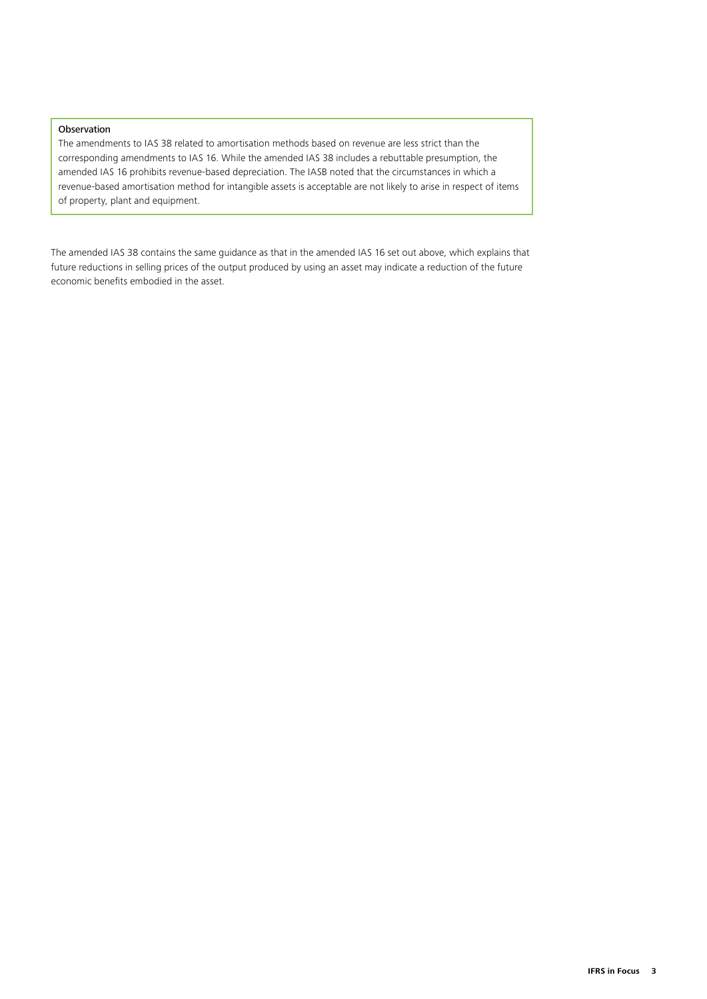# Observation

The amendments to IAS 38 related to amortisation methods based on revenue are less strict than the corresponding amendments to IAS 16. While the amended IAS 38 includes a rebuttable presumption, the amended IAS 16 prohibits revenue-based depreciation. The IASB noted that the circumstances in which a revenue-based amortisation method for intangible assets is acceptable are not likely to arise in respect of items of property, plant and equipment.

The amended IAS 38 contains the same guidance as that in the amended IAS 16 set out above, which explains that future reductions in selling prices of the output produced by using an asset may indicate a reduction of the future economic benefits embodied in the asset.